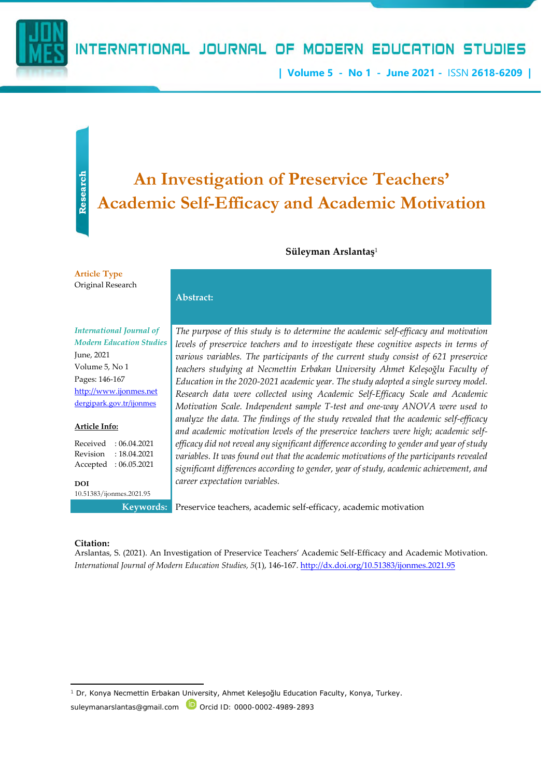

**| Volume 5 - No 1 - June 2021 -** ISSN **2618-6209 |**

# **Research**

### An Investigation of Preservice Teachers<sup>2</sup><br>Academic Self-Efficacy and Academic Motivation **An Investigation of Preservice Teachers'**

#### **Süleyman Arslantaş**<sup>1</sup>

**Article Type** Original Research

#### **Abstract:**

*International Journal of Modern Education Studies* June, 2021 Volume 5, No 1 Pages: 146-167 [http://www.ijonmes.net](http://www.ijonmes.net/) [dergipark.gov.tr/ijonmes](http://www.dergipark.gov.tr/ijonmes)

#### **Article Info:**

Received : 06.04.2021 Revision : 18.04.2021 Accepted : 06.05.2021

**DOI** 10.51383/ijonmes.2021.95

*The purpose of this study is to determine the academic self-efficacy and motivation levels of preservice teachers and to investigate these cognitive aspects in terms of various variables. The participants of the current study consist of 621 preservice teachers studying at Necmettin Erbakan University Ahmet Keleşoğlu Faculty of Education in the 2020-2021 academic year. The study adopted a single survey model. Research data were collected using Academic Self-Efficacy Scale and Academic Motivation Scale. Independent sample T-test and one-way ANOVA were used to analyze the data. The findings of the study revealed that the academic self-efficacy and academic motivation levels of the preservice teachers were high; academic selfefficacy did not reveal any significant difference according to gender and year of study variables. It was found out that the academic motivations of the participants revealed significant differences according to gender, year of study, academic achievement, and career expectation variables.*

**Keywords:** Preservice teachers, academic self-efficacy, academic motivation

#### **Citation:**

Arslantas, S. (2021). An Investigation of Preservice Teachers' Academic Self-Efficacy and Academic Motivation. *International Journal of Modern Education Studies, 5*(1), 146-167[. http://dx.doi.org/10.51383/ijonmes.2021.95](http://dx.doi.org/10.51383/ijonmes.2021.95)

Dr, Konya Necmettin Erbakan University, Ahmet Keleşoğlu Education Faculty, Konya, Turkey.

suleymanarslantas@gmail.com D Orcid ID: 0000-0002-4989-2893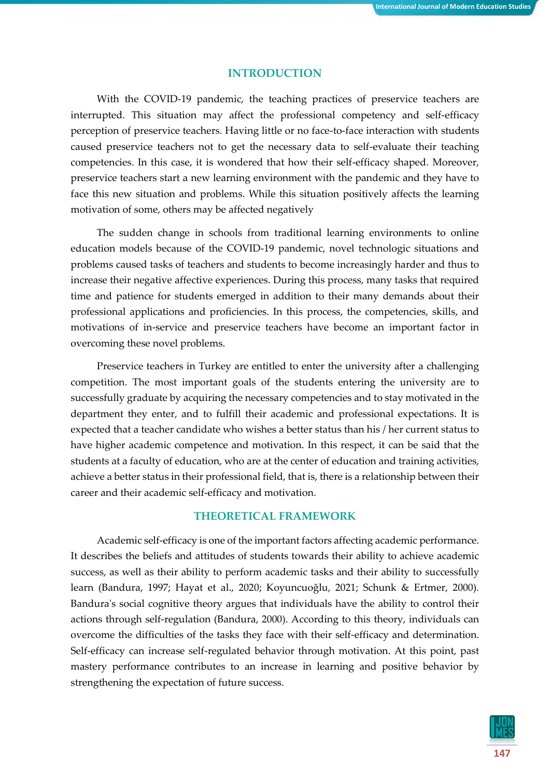#### **INTRODUCTION**

With the COVID-19 pandemic, the teaching practices of preservice teachers are interrupted. This situation may affect the professional competency and self-efficacy perception of preservice teachers. Having little or no face-to-face interaction with students caused preservice teachers not to get the necessary data to self-evaluate their teaching competencies. In this case, it is wondered that how their self-efficacy shaped. Moreover, preservice teachers start a new learning environment with the pandemic and they have to face this new situation and problems. While this situation positively affects the learning motivation of some, others may be affected negatively

The sudden change in schools from traditional learning environments to online education models because of the COVID-19 pandemic, novel technologic situations and problems caused tasks of teachers and students to become increasingly harder and thus to increase their negative affective experiences. During this process, many tasks that required time and patience for students emerged in addition to their many demands about their professional applications and proficiencies. In this process, the competencies, skills, and motivations of in-service and preservice teachers have become an important factor in overcoming these novel problems.

Preservice teachers in Turkey are entitled to enter the university after a challenging competition. The most important goals of the students entering the university are to successfully graduate by acquiring the necessary competencies and to stay motivated in the department they enter, and to fulfill their academic and professional expectations. It is expected that a teacher candidate who wishes a better status than his / her current status to have higher academic competence and motivation. In this respect, it can be said that the students at a faculty of education, who are at the center of education and training activities, achieve a better status in their professional field, that is, there is a relationship between their career and their academic self-efficacy and motivation.

#### **THEORETICAL FRAMEWORK**

Academic self-efficacy is one of the important factors affecting academic performance. It describes the beliefs and attitudes of students towards their ability to achieve academic success, as well as their ability to perform academic tasks and their ability to successfully learn (Bandura, 1997; Hayat et al., 2020; Koyuncuoğlu, 2021; Schunk & Ertmer, 2000). Bandura's social cognitive theory argues that individuals have the ability to control their actions through self-regulation (Bandura, 2000). According to this theory, individuals can overcome the difficulties of the tasks they face with their self-efficacy and determination. Self-efficacy can increase self-regulated behavior through motivation. At this point, past mastery performance contributes to an increase in learning and positive behavior by strengthening the expectation of future success.

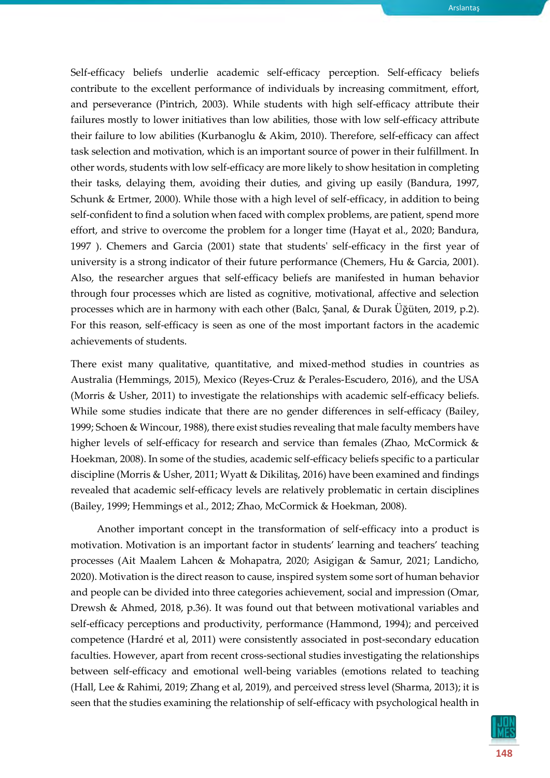Self-efficacy beliefs underlie academic self-efficacy perception. Self-efficacy beliefs contribute to the excellent performance of individuals by increasing commitment, effort, and perseverance (Pintrich, 2003). While students with high self-efficacy attribute their failures mostly to lower initiatives than low abilities, those with low self-efficacy attribute their failure to low abilities (Kurbanoglu & Akim, 2010). Therefore, self-efficacy can affect task selection and motivation, which is an important source of power in their fulfillment. In other words, students with low self-efficacy are more likely to show hesitation in completing their tasks, delaying them, avoiding their duties, and giving up easily (Bandura, 1997, Schunk & Ertmer, 2000). While those with a high level of self-efficacy, in addition to being self-confident to find a solution when faced with complex problems, are patient, spend more effort, and strive to overcome the problem for a longer time (Hayat et al., 2020; Bandura, 1997 ). Chemers and Garcia (2001) state that students' self-efficacy in the first year of university is a strong indicator of their future performance (Chemers, Hu & Garcia, 2001). Also, the researcher argues that self-efficacy beliefs are manifested in human behavior through four processes which are listed as cognitive, motivational, affective and selection processes which are in harmony with each other (Balcı, Şanal, & Durak Üğüten, 2019, p.2). For this reason, self-efficacy is seen as one of the most important factors in the academic achievements of students.

There exist many qualitative, quantitative, and mixed-method studies in countries as Australia (Hemmings, 2015), Mexico (Reyes-Cruz & Perales-Escudero, 2016), and the USA (Morris & Usher, 2011) to investigate the relationships with academic self-efficacy beliefs. While some studies indicate that there are no gender differences in self-efficacy (Bailey, 1999; Schoen & Wincour, 1988), there exist studies revealing that male faculty members have higher levels of self-efficacy for research and service than females (Zhao, McCormick & Hoekman, 2008). In some of the studies, academic self-efficacy beliefs specific to a particular discipline (Morris & Usher, 2011; Wyatt & Dikilitaş, 2016) have been examined and findings revealed that academic self-efficacy levels are relatively problematic in certain disciplines (Bailey, 1999; Hemmings et al., 2012; Zhao, McCormick & Hoekman, 2008).

Another important concept in the transformation of self-efficacy into a product is motivation. Motivation is an important factor in students' learning and teachers' teaching processes (Ait Maalem Lahcen & Mohapatra, 2020; Asigigan & Samur, 2021; Landicho, 2020). Motivation is the direct reason to cause, inspired system some sort of human behavior and people can be divided into three categories achievement, social and impression (Omar, Drewsh & Ahmed, 2018, p.36). It was found out that between motivational variables and self-efficacy perceptions and productivity, performance (Hammond, 1994); and perceived competence (Hardré et al, 2011) were consistently associated in post-secondary education faculties. However, apart from recent cross-sectional studies investigating the relationships between self-efficacy and emotional well-being variables (emotions related to teaching (Hall, Lee & Rahimi, 2019; Zhang et al, 2019), and perceived stress level (Sharma, 2013); it is seen that the studies examining the relationship of self-efficacy with psychological health in

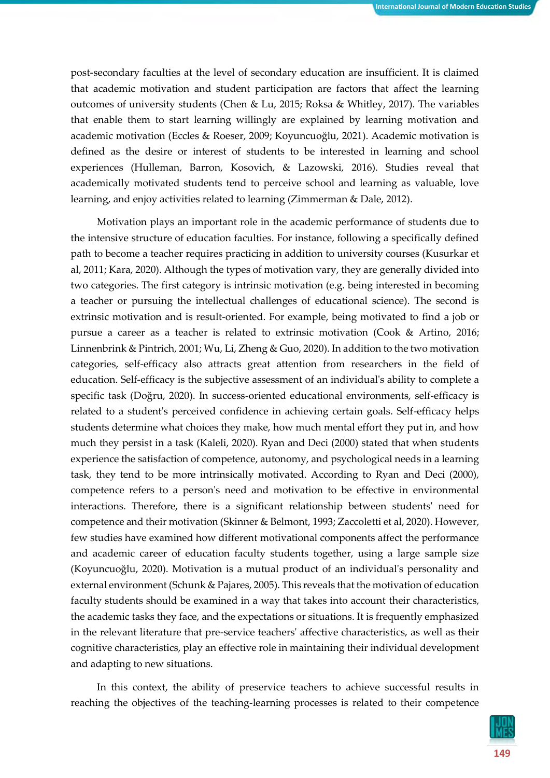post-secondary faculties at the level of secondary education are insufficient. It is claimed that academic motivation and student participation are factors that affect the learning outcomes of university students (Chen & Lu, 2015; Roksa & Whitley, 2017). The variables that enable them to start learning willingly are explained by learning motivation and academic motivation (Eccles & Roeser, 2009; Koyuncuoğlu, 2021). Academic motivation is defined as the desire or interest of students to be interested in learning and school experiences (Hulleman, Barron, Kosovich, & Lazowski, 2016). Studies reveal that academically motivated students tend to perceive school and learning as valuable, love learning, and enjoy activities related to learning (Zimmerman & Dale, 2012).

Motivation plays an important role in the academic performance of students due to the intensive structure of education faculties. For instance, following a specifically defined path to become a teacher requires practicing in addition to university courses (Kusurkar et al, 2011; Kara, 2020). Although the types of motivation vary, they are generally divided into two categories. The first category is intrinsic motivation (e.g. being interested in becoming a teacher or pursuing the intellectual challenges of educational science). The second is extrinsic motivation and is result-oriented. For example, being motivated to find a job or pursue a career as a teacher is related to extrinsic motivation (Cook & Artino, 2016; Linnenbrink & Pintrich, 2001; Wu, Li, Zheng & Guo, 2020). In addition to the two motivation categories, self-efficacy also attracts great attention from researchers in the field of education. Self-efficacy is the subjective assessment of an individual's ability to complete a specific task (Doğru, 2020). In success-oriented educational environments, self-efficacy is related to a student's perceived confidence in achieving certain goals. Self-efficacy helps students determine what choices they make, how much mental effort they put in, and how much they persist in a task (Kaleli, 2020). Ryan and Deci (2000) stated that when students experience the satisfaction of competence, autonomy, and psychological needs in a learning task, they tend to be more intrinsically motivated. According to Ryan and Deci (2000), competence refers to a person's need and motivation to be effective in environmental interactions. Therefore, there is a significant relationship between students' need for competence and their motivation (Skinner & Belmont, 1993; Zaccoletti et al, 2020). However, few studies have examined how different motivational components affect the performance and academic career of education faculty students together, using a large sample size (Koyuncuoğlu, 2020). Motivation is a mutual product of an individual's personality and external environment (Schunk & Pajares, 2005). This reveals that the motivation of education faculty students should be examined in a way that takes into account their characteristics, the academic tasks they face, and the expectations or situations. It is frequently emphasized in the relevant literature that pre-service teachers' affective characteristics, as well as their cognitive characteristics, play an effective role in maintaining their individual development and adapting to new situations.

In this context, the ability of preservice teachers to achieve successful results in reaching the objectives of the teaching-learning processes is related to their competence

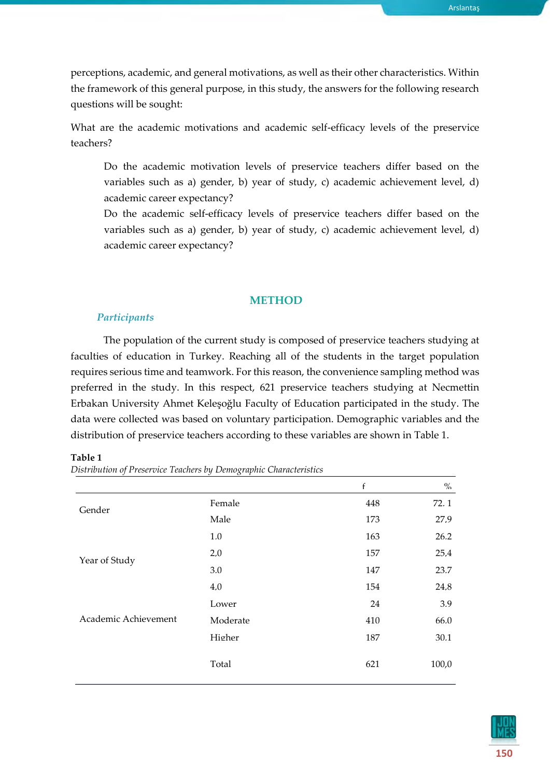Arslantaş

perceptions, academic, and general motivations, as well as their other characteristics. Within the framework of this general purpose, in this study, the answers for the following research questions will be sought:

What are the academic motivations and academic self-efficacy levels of the preservice teachers?

Do the academic motivation levels of preservice teachers differ based on the variables such as a) gender, b) year of study, c) academic achievement level, d) academic career expectancy?

Do the academic self-efficacy levels of preservice teachers differ based on the variables such as a) gender, b) year of study, c) academic achievement level, d) academic career expectancy?

#### **METHOD**

#### *Participants*

The population of the current study is composed of preservice teachers studying at faculties of education in Turkey. Reaching all of the students in the target population requires serious time and teamwork. For this reason, the convenience sampling method was preferred in the study. In this respect, 621 preservice teachers studying at Necmettin Erbakan University Ahmet Keleşoğlu Faculty of Education participated in the study. The data were collected was based on voluntary participation. Demographic variables and the distribution of preservice teachers according to these variables are shown in Table 1.

| n |  |
|---|--|
|   |  |

*Distribution of Preservice Teachers by Demographic Characteristics*

|                                       |                             | $\mathbf{f}$                                               | $\%$  |
|---------------------------------------|-----------------------------|------------------------------------------------------------|-------|
| Gender                                | Female                      | 448                                                        | 72.1  |
|                                       | Male                        | 173<br>163<br>157<br>147<br>154<br>24<br>410<br>187<br>621 | 27.9  |
|                                       | 1.0                         |                                                            | 26.2  |
| 2.0<br>3.0<br>4.0<br>Lower            |                             | 25.4                                                       |       |
|                                       | Moderate<br>Higher<br>Total |                                                            | 23.7  |
|                                       |                             |                                                            | 24.8  |
| Year of Study<br>Academic Achievement |                             |                                                            | 3.9   |
|                                       |                             |                                                            | 66.0  |
|                                       |                             |                                                            | 30.1  |
|                                       |                             |                                                            | 100,0 |

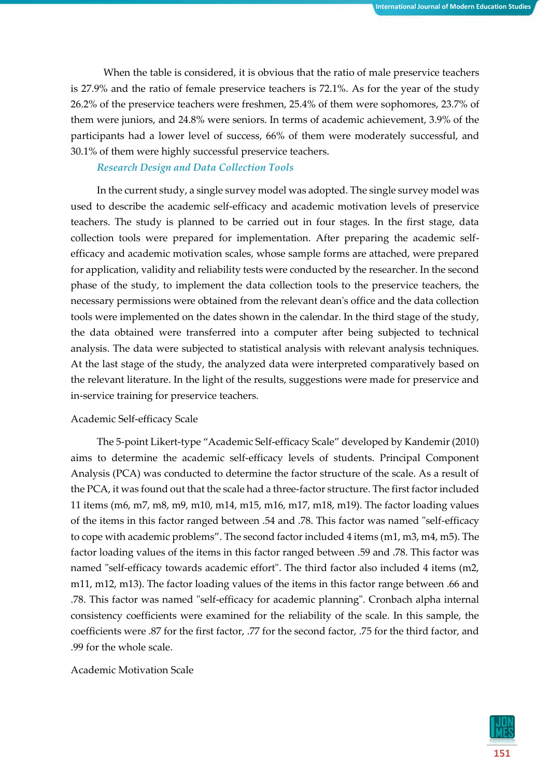When the table is considered, it is obvious that the ratio of male preservice teachers is 27.9% and the ratio of female preservice teachers is 72.1%. As for the year of the study 26.2% of the preservice teachers were freshmen, 25.4% of them were sophomores, 23.7% of them were juniors, and 24.8% were seniors. In terms of academic achievement, 3.9% of the participants had a lower level of success, 66% of them were moderately successful, and 30.1% of them were highly successful preservice teachers.

#### *Research Design and Data Collection Tools*

In the current study, a single survey model was adopted. The single survey model was used to describe the academic self-efficacy and academic motivation levels of preservice teachers. The study is planned to be carried out in four stages. In the first stage, data collection tools were prepared for implementation. After preparing the academic selfefficacy and academic motivation scales, whose sample forms are attached, were prepared for application, validity and reliability tests were conducted by the researcher. In the second phase of the study, to implement the data collection tools to the preservice teachers, the necessary permissions were obtained from the relevant dean's office and the data collection tools were implemented on the dates shown in the calendar. In the third stage of the study, the data obtained were transferred into a computer after being subjected to technical analysis. The data were subjected to statistical analysis with relevant analysis techniques. At the last stage of the study, the analyzed data were interpreted comparatively based on the relevant literature. In the light of the results, suggestions were made for preservice and in-service training for preservice teachers.

#### Academic Self-efficacy Scale

The 5-point Likert-type "Academic Self-efficacy Scale" developed by Kandemir (2010) aims to determine the academic self-efficacy levels of students. Principal Component Analysis (PCA) was conducted to determine the factor structure of the scale. As a result of the PCA, it was found out that the scale had a three-factor structure. The first factor included 11 items (m6, m7, m8, m9, m10, m14, m15, m16, m17, m18, m19). The factor loading values of the items in this factor ranged between .54 and .78. This factor was named "self-efficacy to cope with academic problems". The second factor included 4 items (m1, m3, m4, m5). The factor loading values of the items in this factor ranged between .59 and .78. This factor was named "self-efficacy towards academic effort". The third factor also included 4 items (m2, m11, m12, m13). The factor loading values of the items in this factor range between .66 and .78. This factor was named "self-efficacy for academic planning". Cronbach alpha internal consistency coefficients were examined for the reliability of the scale. In this sample, the coefficients were .87 for the first factor, .77 for the second factor, .75 for the third factor, and .99 for the whole scale.

#### Academic Motivation Scale

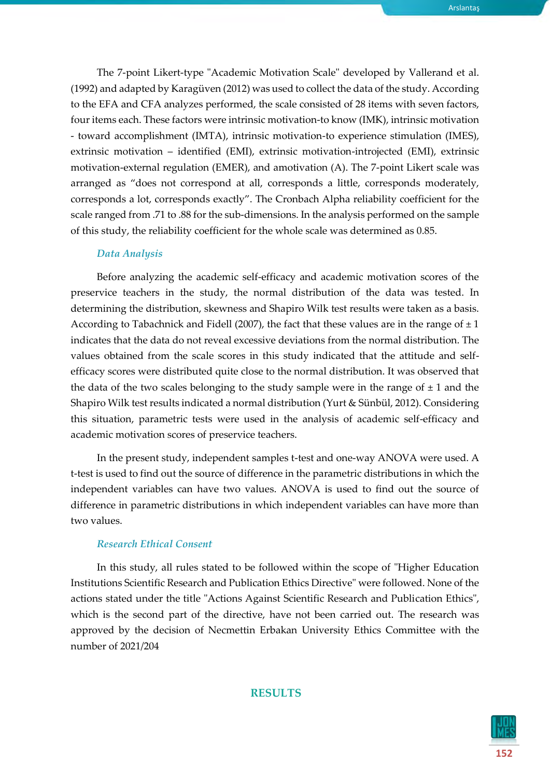The 7-point Likert-type "Academic Motivation Scale" developed by Vallerand et al. (1992) and adapted by Karagüven (2012) was used to collect the data of the study. According to the EFA and CFA analyzes performed, the scale consisted of 28 items with seven factors, four items each. These factors were intrinsic motivation-to know (IMK), intrinsic motivation - toward accomplishment (IMTA), intrinsic motivation-to experience stimulation (IMES), extrinsic motivation – identified (EMI), extrinsic motivation-introjected (EMI), extrinsic motivation-external regulation (EMER), and amotivation (A). The 7-point Likert scale was arranged as "does not correspond at all, corresponds a little, corresponds moderately, corresponds a lot, corresponds exactly". The Cronbach Alpha reliability coefficient for the scale ranged from .71 to .88 for the sub-dimensions. In the analysis performed on the sample of this study, the reliability coefficient for the whole scale was determined as 0.85.

#### *Data Analysis*

Before analyzing the academic self-efficacy and academic motivation scores of the preservice teachers in the study, the normal distribution of the data was tested. In determining the distribution, skewness and Shapiro Wilk test results were taken as a basis. According to Tabachnick and Fidell (2007), the fact that these values are in the range of  $\pm 1$ indicates that the data do not reveal excessive deviations from the normal distribution. The values obtained from the scale scores in this study indicated that the attitude and selfefficacy scores were distributed quite close to the normal distribution. It was observed that the data of the two scales belonging to the study sample were in the range of  $\pm 1$  and the Shapiro Wilk test results indicated a normal distribution (Yurt & Sünbül, 2012). Considering this situation, parametric tests were used in the analysis of academic self-efficacy and academic motivation scores of preservice teachers.

In the present study, independent samples t-test and one-way ANOVA were used. A t-test is used to find out the source of difference in the parametric distributions in which the independent variables can have two values. ANOVA is used to find out the source of difference in parametric distributions in which independent variables can have more than two values.

#### *Research Ethical Consent*

In this study, all rules stated to be followed within the scope of "Higher Education Institutions Scientific Research and Publication Ethics Directive" were followed. None of the actions stated under the title "Actions Against Scientific Research and Publication Ethics", which is the second part of the directive, have not been carried out. The research was approved by the decision of Necmettin Erbakan University Ethics Committee with the number of 2021/204

## **152**

#### **RESULTS**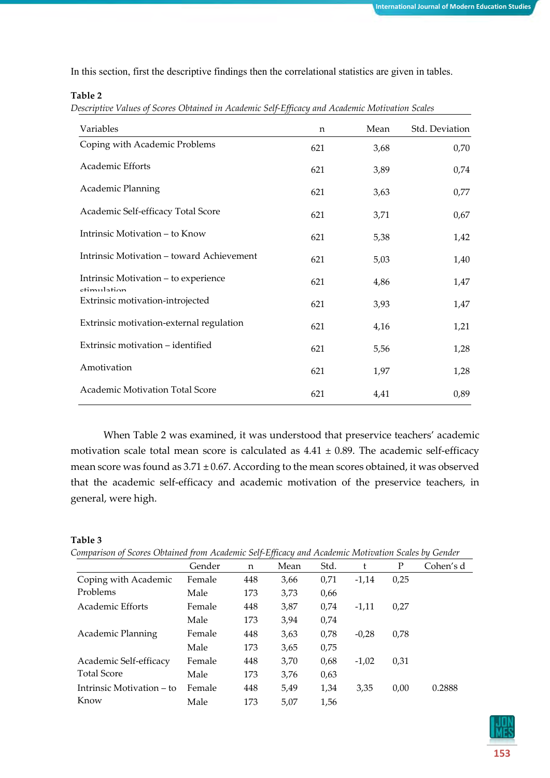In this section, first the descriptive findings then the correlational statistics are given in tables.

#### **Table 2**

*Descriptive Values of Scores Obtained in Academic Self-Efficacy and Academic Motivation Scales*

| Variables                                           | n   | Mean | Std. Deviation |
|-----------------------------------------------------|-----|------|----------------|
| Coping with Academic Problems                       | 621 | 3,68 | 0,70           |
| Academic Efforts                                    | 621 | 3,89 | 0,74           |
| Academic Planning                                   | 621 | 3,63 | 0,77           |
| Academic Self-efficacy Total Score                  | 621 | 3,71 | 0,67           |
| Intrinsic Motivation – to Know                      | 621 | 5,38 | 1,42           |
| Intrinsic Motivation - toward Achievement           | 621 | 5,03 | 1,40           |
| Intrinsic Motivation – to experience<br>ctimulation | 621 | 4,86 | 1,47           |
| Extrinsic motivation-introjected                    | 621 | 3,93 | 1,47           |
| Extrinsic motivation-external regulation            | 621 | 4,16 | 1,21           |
| Extrinsic motivation – identified                   | 621 | 5,56 | 1,28           |
| Amotivation                                         | 621 | 1,97 | 1,28           |
| Academic Motivation Total Score                     | 621 | 4,41 | 0,89           |

When Table 2 was examined, it was understood that preservice teachers' academic motivation scale total mean score is calculated as  $4.41 \pm 0.89$ . The academic self-efficacy mean score was found as  $3.71 \pm 0.67$ . According to the mean scores obtained, it was observed that the academic self-efficacy and academic motivation of the preservice teachers, in general, were high.

#### **Table 3**

|  |  |  | Comparison of Scores Obtained from Academic Self-Efficacy and Academic Motivation Scales by Gender |
|--|--|--|----------------------------------------------------------------------------------------------------|
|  |  |  |                                                                                                    |

|                           | Gender | $\mathsf{n}$ | Mean | Std. | t       | P    | Cohen's d |
|---------------------------|--------|--------------|------|------|---------|------|-----------|
| Coping with Academic      | Female | 448          | 3,66 | 0,71 | $-1.14$ | 0,25 |           |
| Problems                  | Male   | 173          | 3,73 | 0,66 |         |      |           |
| Academic Efforts          | Female | 448          | 3,87 | 0.74 | $-1.11$ | 0,27 |           |
|                           | Male   | 173          | 3,94 | 0,74 |         |      |           |
| Academic Planning         | Female | 448          | 3,63 | 0.78 | $-0.28$ | 0,78 |           |
|                           | Male   | 173          | 3,65 | 0,75 |         |      |           |
| Academic Self-efficacy    | Female | 448          | 3,70 | 0.68 | $-1,02$ | 0,31 |           |
| <b>Total Score</b>        | Male   | 173          | 3,76 | 0.63 |         |      |           |
| Intrinsic Motivation – to | Female | 448          | 5.49 | 1,34 | 3.35    | 0,00 | 0.2888    |
| Know                      | Male   | 173          | 5,07 | 1,56 |         |      |           |

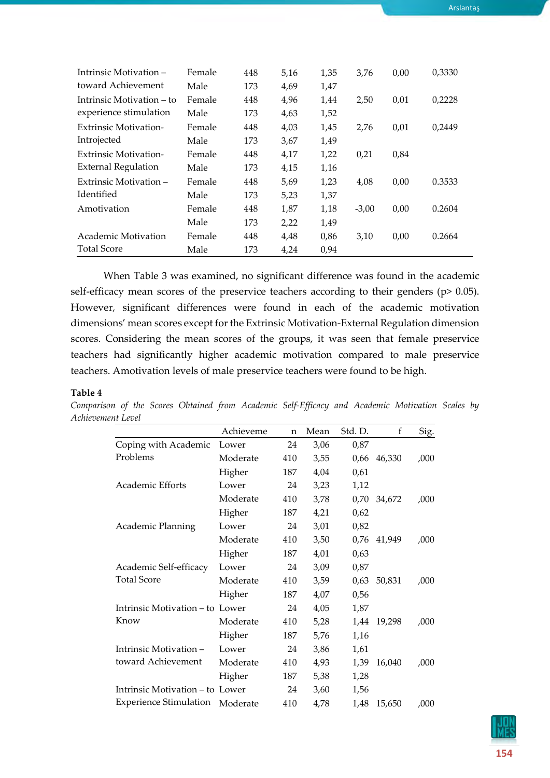| Intrinsic Motivation –       | Female | 448 | 5,16 | 1,35 | 3,76    | 0,00 | 0,3330 |
|------------------------------|--------|-----|------|------|---------|------|--------|
| toward Achievement           | Male   | 173 | 4,69 | 1,47 |         |      |        |
| Intrinsic Motivation – to    | Female | 448 | 4,96 | 1,44 | 2,50    | 0,01 | 0,2228 |
| experience stimulation       | Male   | 173 | 4,63 | 1,52 |         |      |        |
| <b>Extrinsic Motivation-</b> | Female | 448 | 4,03 | 1,45 | 2,76    | 0,01 | 0,2449 |
| Introjected                  | Male   | 173 | 3,67 | 1,49 |         |      |        |
| <b>Extrinsic Motivation-</b> | Female | 448 | 4,17 | 1,22 | 0,21    | 0,84 |        |
| <b>External Regulation</b>   | Male   | 173 | 4,15 | 1,16 |         |      |        |
| Extrinsic Motivation –       | Female | 448 | 5,69 | 1,23 | 4,08    | 0,00 | 0.3533 |
| Identified                   | Male   | 173 | 5,23 | 1,37 |         |      |        |
| Amotivation                  | Female | 448 | 1,87 | 1,18 | $-3,00$ | 0,00 | 0.2604 |
|                              | Male   | 173 | 2,22 | 1,49 |         |      |        |
| Academic Motivation          | Female | 448 | 4,48 | 0,86 | 3,10    | 0,00 | 0.2664 |
| <b>Total Score</b>           | Male   | 173 | 4,24 | 0,94 |         |      |        |

When Table 3 was examined, no significant difference was found in the academic self-efficacy mean scores of the preservice teachers according to their genders (p> 0.05). However, significant differences were found in each of the academic motivation dimensions' mean scores except for the Extrinsic Motivation-External Regulation dimension scores. Considering the mean scores of the groups, it was seen that female preservice teachers had significantly higher academic motivation compared to male preservice teachers. Amotivation levels of male preservice teachers were found to be high.

#### **Table 4**

|                                 | Achieveme | n   | Mean | Std. D. | f      | Sig. |
|---------------------------------|-----------|-----|------|---------|--------|------|
| Coping with Academic            | Lower     | 24  | 3,06 | 0,87    |        |      |
| Problems                        | Moderate  | 410 | 3,55 | 0,66    | 46,330 | ,000 |
|                                 | Higher    | 187 | 4,04 | 0,61    |        |      |
| Academic Efforts                | Lower     | 24  | 3,23 | 1,12    |        |      |
|                                 | Moderate  | 410 | 3,78 | 0,70    | 34,672 | ,000 |
|                                 | Higher    | 187 | 4,21 | 0,62    |        |      |
| Academic Planning               | Lower     | 24  | 3,01 | 0,82    |        |      |
|                                 | Moderate  | 410 | 3,50 | 0,76    | 41,949 | ,000 |
|                                 | Higher    | 187 | 4,01 | 0,63    |        |      |
| Academic Self-efficacy          | Lower     | 24  | 3,09 | 0,87    |        |      |
| <b>Total Score</b>              | Moderate  | 410 | 3,59 | 0,63    | 50,831 | ,000 |
|                                 | Higher    | 187 | 4,07 | 0,56    |        |      |
| Intrinsic Motivation – to Lower |           | 24  | 4,05 | 1,87    |        |      |
| Know                            | Moderate  | 410 | 5,28 | 1,44    | 19,298 | ,000 |
|                                 | Higher    | 187 | 5,76 | 1,16    |        |      |
| Intrinsic Motivation-           | Lower     | 24  | 3,86 | 1,61    |        |      |
| toward Achievement              | Moderate  | 410 | 4,93 | 1,39    | 16,040 | ,000 |
|                                 | Higher    | 187 | 5,38 | 1,28    |        |      |
| Intrinsic Motivation - to Lower |           | 24  | 3,60 | 1,56    |        |      |
| <b>Experience Stimulation</b>   | Moderate  | 410 | 4,78 | 1,48    | 15,650 | ,000 |

*Comparison of the Scores Obtained from Academic Self-Efficacy and Academic Motivation Scales by Achievement Level*



Arslantaş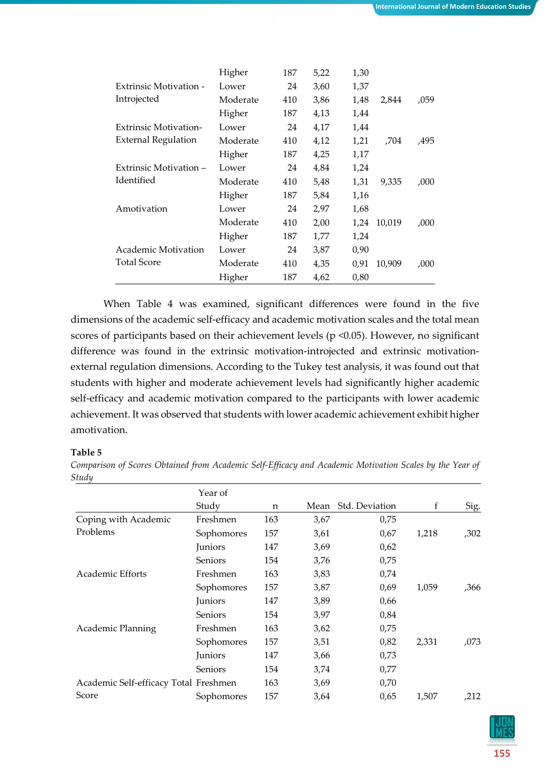|                               | Higher   | 187 | 5,22 | 1,30 |        |      |
|-------------------------------|----------|-----|------|------|--------|------|
| <b>Extrinsic Motivation -</b> | Lower    | 24  | 3,60 | 1,37 |        |      |
| Introjected                   | Moderate | 410 | 3,86 | 1,48 | 2,844  | ,059 |
|                               | Higher   | 187 | 4,13 | 1,44 |        |      |
| <b>Extrinsic Motivation-</b>  | Lower    | 24  | 4,17 | 1,44 |        |      |
| <b>External Regulation</b>    | Moderate | 410 | 4,12 | 1,21 | ,704   | .495 |
|                               | Higher   | 187 | 4,25 | 1,17 |        |      |
| Extrinsic Motivation –        | Lower    | 24  | 4,84 | 1,24 |        |      |
| Identified                    | Moderate | 410 | 5,48 | 1,31 | 9,335  | ,000 |
|                               | Higher   | 187 | 5,84 | 1,16 |        |      |
| Amotivation                   | Lower    | 24  | 2,97 | 1,68 |        |      |
|                               | Moderate | 410 | 2,00 | 1,24 | 10,019 | ,000 |
|                               | Higher   | 187 | 1,77 | 1,24 |        |      |
| Academic Motivation           | Lower    | 24  | 3,87 | 0,90 |        |      |
| <b>Total Score</b>            | Moderate | 410 | 4,35 | 0,91 | 10,909 | ,000 |
|                               | Higher   | 187 | 4,62 | 0,80 |        |      |

When Table 4 was examined, significant differences were found in the five dimensions of the academic self-efficacy and academic motivation scales and the total mean scores of participants based on their achievement levels (p <0.05). However, no significant difference was found in the extrinsic motivation-introjected and extrinsic motivationexternal regulation dimensions. According to the Tukey test analysis, it was found out that students with higher and moderate achievement levels had significantly higher academic self-efficacy and academic motivation compared to the participants with lower academic achievement. It was observed that students with lower academic achievement exhibit higher amotivation.

#### **Table 5**

*Comparison of Scores Obtained from Academic Self-Efficacy and Academic Motivation Scales by the Year of Study*

|                                       | Year of        |     |      |                     |       |      |
|---------------------------------------|----------------|-----|------|---------------------|-------|------|
|                                       | Study          | n   |      | Mean Std. Deviation | f     | Sig. |
| Coping with Academic                  | Freshmen       | 163 | 3,67 | 0,75                |       |      |
| Problems                              | Sophomores     | 157 | 3,61 | 0,67                | 1,218 | ,302 |
|                                       | Juniors        | 147 | 3,69 | 0,62                |       |      |
|                                       | <b>Seniors</b> | 154 | 3,76 | 0,75                |       |      |
| Academic Efforts                      | Freshmen       | 163 | 3,83 | 0,74                |       |      |
|                                       | Sophomores     | 157 | 3,87 | 0,69                | 1,059 | .366 |
|                                       | Juniors        | 147 | 3,89 | 0,66                |       |      |
|                                       | <b>Seniors</b> | 154 | 3,97 | 0,84                |       |      |
| Academic Planning                     | Freshmen       | 163 | 3,62 | 0,75                |       |      |
|                                       | Sophomores     | 157 | 3,51 | 0,82                | 2,331 | ,073 |
|                                       | Juniors        | 147 | 3,66 | 0,73                |       |      |
|                                       | Seniors        | 154 | 3,74 | 0,77                |       |      |
| Academic Self-efficacy Total Freshmen |                | 163 | 3,69 | 0,70                |       |      |
| Score                                 | Sophomores     | 157 | 3,64 | 0,65                | 1,507 | ,212 |

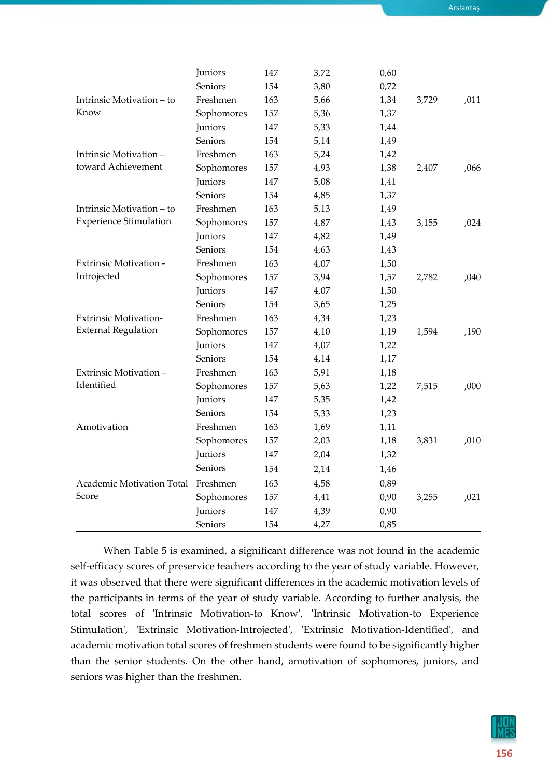Arslantaş

|                               | Juniors    | 147 | 3,72 | 0,60 |       |      |
|-------------------------------|------------|-----|------|------|-------|------|
|                               | Seniors    | 154 | 3,80 | 0,72 |       |      |
| Intrinsic Motivation - to     | Freshmen   | 163 | 5,66 | 1,34 | 3,729 | ,011 |
| Know                          | Sophomores | 157 | 5,36 | 1,37 |       |      |
|                               | Juniors    | 147 | 5,33 | 1,44 |       |      |
|                               | Seniors    | 154 | 5,14 | 1,49 |       |      |
| Intrinsic Motivation-         | Freshmen   | 163 | 5,24 | 1,42 |       |      |
| toward Achievement            | Sophomores | 157 | 4,93 | 1,38 | 2,407 | ,066 |
|                               | Juniors    | 147 | 5,08 | 1,41 |       |      |
|                               | Seniors    | 154 | 4,85 | 1,37 |       |      |
| Intrinsic Motivation - to     | Freshmen   | 163 | 5,13 | 1,49 |       |      |
| <b>Experience Stimulation</b> | Sophomores | 157 | 4,87 | 1,43 | 3,155 | ,024 |
|                               | Juniors    | 147 | 4,82 | 1,49 |       |      |
|                               | Seniors    | 154 | 4,63 | 1,43 |       |      |
| Extrinsic Motivation -        | Freshmen   | 163 | 4,07 | 1,50 |       |      |
| Introjected                   | Sophomores | 157 | 3,94 | 1,57 | 2,782 | ,040 |
|                               | Juniors    | 147 | 4,07 | 1,50 |       |      |
|                               | Seniors    | 154 | 3,65 | 1,25 |       |      |
| <b>Extrinsic Motivation-</b>  | Freshmen   | 163 | 4,34 | 1,23 |       |      |
| <b>External Regulation</b>    | Sophomores | 157 | 4,10 | 1,19 | 1,594 | ,190 |
|                               | Juniors    | 147 | 4,07 | 1,22 |       |      |
|                               | Seniors    | 154 | 4,14 | 1,17 |       |      |
| Extrinsic Motivation -        | Freshmen   | 163 | 5,91 | 1,18 |       |      |
| Identified                    | Sophomores | 157 | 5,63 | 1,22 | 7,515 | ,000 |
|                               | Juniors    | 147 | 5,35 | 1,42 |       |      |
|                               | Seniors    | 154 | 5,33 | 1,23 |       |      |
| Amotivation                   | Freshmen   | 163 | 1,69 | 1,11 |       |      |
|                               | Sophomores | 157 | 2,03 | 1,18 | 3,831 | ,010 |
|                               | Juniors    | 147 | 2,04 | 1,32 |       |      |
|                               | Seniors    | 154 | 2,14 | 1,46 |       |      |
| Academic Motivation Total     | Freshmen   | 163 | 4,58 | 0,89 |       |      |
| Score                         | Sophomores | 157 | 4,41 | 0,90 | 3,255 | ,021 |
|                               | Juniors    | 147 | 4,39 | 0,90 |       |      |
|                               | Seniors    | 154 | 4,27 | 0,85 |       |      |

When Table 5 is examined, a significant difference was not found in the academic self-efficacy scores of preservice teachers according to the year of study variable. However, it was observed that there were significant differences in the academic motivation levels of the participants in terms of the year of study variable. According to further analysis, the total scores of 'Intrinsic Motivation-to Know', 'Intrinsic Motivation-to Experience Stimulation', 'Extrinsic Motivation-Introjected', 'Extrinsic Motivation-Identified', and academic motivation total scores of freshmen students were found to be significantly higher than the senior students. On the other hand, amotivation of sophomores, juniors, and seniors was higher than the freshmen.

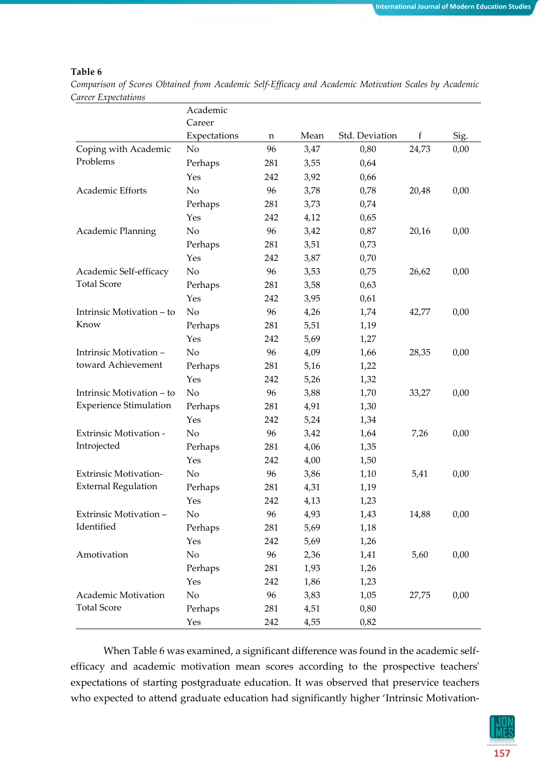#### **Table 6**

*Comparison of Scores Obtained from Academic Self-Efficacy and Academic Motivation Scales by Academic Career Expectations*

|                               | Academic       |     |      |                |       |      |
|-------------------------------|----------------|-----|------|----------------|-------|------|
|                               | Career         |     |      |                |       |      |
|                               | Expectations   | n   | Mean | Std. Deviation | f     | Sig. |
| Coping with Academic          | N <sub>0</sub> | 96  | 3,47 | 0,80           | 24,73 | 0,00 |
| Problems                      | Perhaps        | 281 | 3,55 | 0,64           |       |      |
|                               | Yes            | 242 | 3,92 | 0,66           |       |      |
| Academic Efforts              | No             | 96  | 3,78 | 0,78           | 20,48 | 0,00 |
|                               | Perhaps        | 281 | 3,73 | 0,74           |       |      |
|                               | Yes            | 242 | 4,12 | 0,65           |       |      |
| Academic Planning             | No             | 96  | 3,42 | 0,87           | 20,16 | 0,00 |
|                               | Perhaps        | 281 | 3,51 | 0,73           |       |      |
|                               | Yes            | 242 | 3,87 | 0,70           |       |      |
| Academic Self-efficacy        | No             | 96  | 3,53 | 0,75           | 26,62 | 0,00 |
| <b>Total Score</b>            | Perhaps        | 281 | 3,58 | 0,63           |       |      |
|                               | Yes            | 242 | 3,95 | 0,61           |       |      |
| Intrinsic Motivation – to     | N <sub>o</sub> | 96  | 4,26 | 1,74           | 42,77 | 0,00 |
| Know                          | Perhaps        | 281 | 5,51 | 1,19           |       |      |
|                               | Yes            | 242 | 5,69 | 1,27           |       |      |
| Intrinsic Motivation-         | No             | 96  | 4,09 | 1,66           | 28,35 | 0,00 |
| toward Achievement            | Perhaps        | 281 | 5,16 | 1,22           |       |      |
|                               | Yes            | 242 | 5,26 | 1,32           |       |      |
| Intrinsic Motivation - to     | No             | 96  | 3,88 | 1,70           | 33,27 | 0,00 |
| <b>Experience Stimulation</b> | Perhaps        | 281 | 4,91 | 1,30           |       |      |
|                               | Yes            | 242 | 5,24 | 1,34           |       |      |
| <b>Extrinsic Motivation -</b> | No             | 96  | 3,42 | 1,64           | 7,26  | 0,00 |
| Introjected                   | Perhaps        | 281 | 4,06 | 1,35           |       |      |
|                               | Yes            | 242 | 4,00 | 1,50           |       |      |
| <b>Extrinsic Motivation-</b>  | No             | 96  | 3,86 | 1,10           | 5,41  | 0,00 |
| <b>External Regulation</b>    | Perhaps        | 281 | 4,31 | 1,19           |       |      |
|                               | Yes            | 242 | 4,13 | 1,23           |       |      |
| Extrinsic Motivation -        | No             | 96  | 4,93 | 1,43           | 14,88 | 0,00 |
| Identified                    | Perhaps        | 281 | 5,69 | 1,18           |       |      |
|                               | Yes            | 242 | 5,69 | 1,26           |       |      |
| Amotivation                   | No             | 96  | 2,36 | 1,41           | 5,60  | 0,00 |
|                               | Perhaps        | 281 | 1,93 | 1,26           |       |      |
|                               | Yes            | 242 | 1,86 | 1,23           |       |      |
| Academic Motivation           | No             | 96  | 3,83 | 1,05           | 27,75 | 0,00 |
| <b>Total Score</b>            | Perhaps        | 281 | 4,51 | 0,80           |       |      |
|                               | Yes            | 242 | 4,55 | 0,82           |       |      |

When Table 6 was examined, a significant difference was found in the academic selfefficacy and academic motivation mean scores according to the prospective teachers' expectations of starting postgraduate education. It was observed that preservice teachers who expected to attend graduate education had significantly higher 'Intrinsic Motivation-

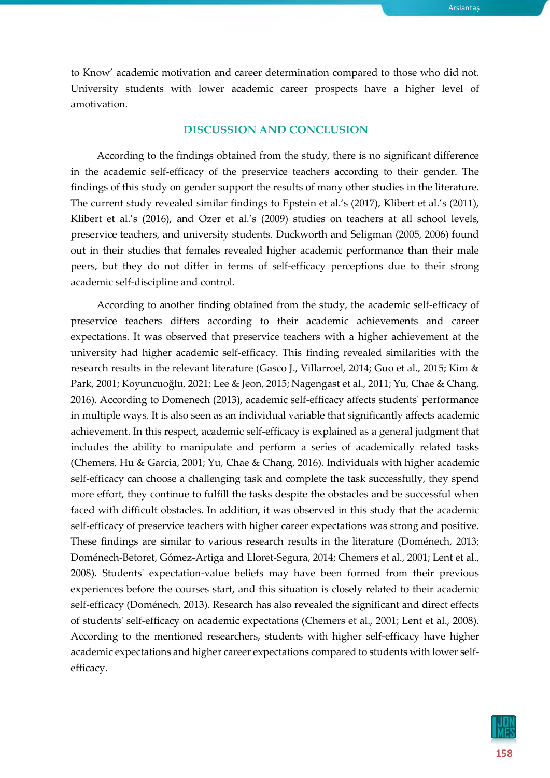to Know' academic motivation and career determination compared to those who did not. University students with lower academic career prospects have a higher level of amotivation.

#### **DISCUSSION AND CONCLUSION**

According to the findings obtained from the study, there is no significant difference in the academic self-efficacy of the preservice teachers according to their gender. The findings of this study on gender support the results of many other studies in the literature. The current study revealed similar findings to Epstein et al.'s (2017), Klibert et al.'s (2011), Klibert et al.'s (2016), and Ozer et al.'s (2009) studies on teachers at all school levels, preservice teachers, and university students. Duckworth and Seligman (2005, 2006) found out in their studies that females revealed higher academic performance than their male peers, but they do not differ in terms of self-efficacy perceptions due to their strong academic self-discipline and control.

According to another finding obtained from the study, the academic self-efficacy of preservice teachers differs according to their academic achievements and career expectations. It was observed that preservice teachers with a higher achievement at the university had higher academic self-efficacy. This finding revealed similarities with the research results in the relevant literature (Gasco J., Villarroel, 2014; Guo et al., 2015; Kim & Park, 2001; Koyuncuoğlu, 2021; Lee & Jeon, 2015; Nagengast et al., 2011; Yu, Chae & Chang, 2016). According to Domenech (2013), academic self-efficacy affects students' performance in multiple ways. It is also seen as an individual variable that significantly affects academic achievement. In this respect, academic self-efficacy is explained as a general judgment that includes the ability to manipulate and perform a series of academically related tasks (Chemers, Hu & Garcia, 2001; Yu, Chae & Chang, 2016). Individuals with higher academic self-efficacy can choose a challenging task and complete the task successfully, they spend more effort, they continue to fulfill the tasks despite the obstacles and be successful when faced with difficult obstacles. In addition, it was observed in this study that the academic self-efficacy of preservice teachers with higher career expectations was strong and positive. These findings are similar to various research results in the literature (Doménech, 2013; Doménech-Betoret, Gómez-Artiga and Lloret-Segura, 2014; Chemers et al., 2001; Lent et al., 2008). Students' expectation-value beliefs may have been formed from their previous experiences before the courses start, and this situation is closely related to their academic self-efficacy (Doménech, 2013). Research has also revealed the significant and direct effects of students' self-efficacy on academic expectations (Chemers et al., 2001; Lent et al., 2008). According to the mentioned researchers, students with higher self-efficacy have higher academic expectations and higher career expectations compared to students with lower selfefficacy.

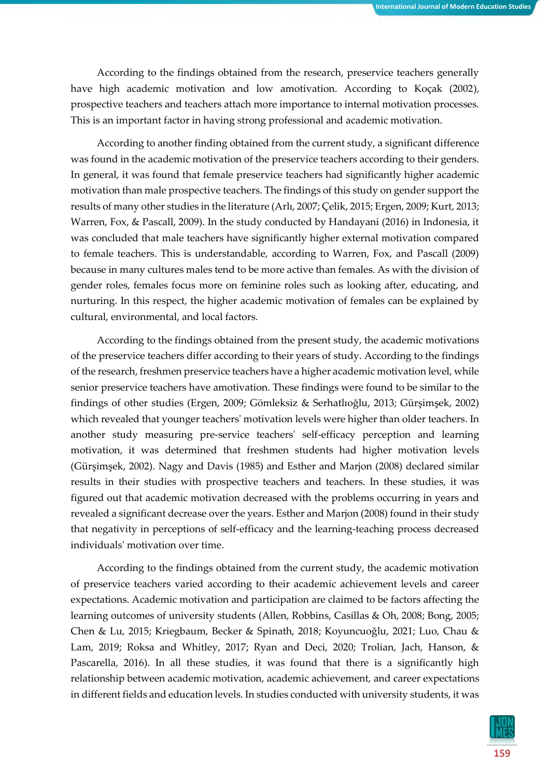According to the findings obtained from the research, preservice teachers generally have high academic motivation and low amotivation. According to Koçak (2002), prospective teachers and teachers attach more importance to internal motivation processes. This is an important factor in having strong professional and academic motivation.

According to another finding obtained from the current study, a significant difference was found in the academic motivation of the preservice teachers according to their genders. In general, it was found that female preservice teachers had significantly higher academic motivation than male prospective teachers. The findings of this study on gender support the results of many other studies in the literature (Arlı, 2007; Çelik, 2015; Ergen, 2009; Kurt, 2013; Warren, Fox, & Pascall, 2009). In the study conducted by Handayani (2016) in Indonesia, it was concluded that male teachers have significantly higher external motivation compared to female teachers. This is understandable, according to Warren, Fox, and Pascall (2009) because in many cultures males tend to be more active than females. As with the division of gender roles, females focus more on feminine roles such as looking after, educating, and nurturing. In this respect, the higher academic motivation of females can be explained by cultural, environmental, and local factors.

According to the findings obtained from the present study, the academic motivations of the preservice teachers differ according to their years of study. According to the findings of the research, freshmen preservice teachers have a higher academic motivation level, while senior preservice teachers have amotivation. These findings were found to be similar to the findings of other studies (Ergen, 2009; Gömleksiz & Serhatlıoğlu, 2013; Gürşimşek, 2002) which revealed that younger teachers' motivation levels were higher than older teachers. In another study measuring pre-service teachers' self-efficacy perception and learning motivation, it was determined that freshmen students had higher motivation levels (Gürşimşek, 2002). Nagy and Davis (1985) and Esther and Marjon (2008) declared similar results in their studies with prospective teachers and teachers. In these studies, it was figured out that academic motivation decreased with the problems occurring in years and revealed a significant decrease over the years. Esther and Marjon (2008) found in their study that negativity in perceptions of self-efficacy and the learning-teaching process decreased individuals' motivation over time.

According to the findings obtained from the current study, the academic motivation of preservice teachers varied according to their academic achievement levels and career expectations. Academic motivation and participation are claimed to be factors affecting the learning outcomes of university students (Allen, Robbins, Casillas & Oh, 2008; Bong, 2005; Chen & Lu, 2015; Kriegbaum, Becker & Spinath, 2018; Koyuncuoğlu, 2021; Luo, Chau & Lam, 2019; Roksa and Whitley, 2017; Ryan and Deci, 2020; Trolian, Jach, Hanson, & Pascarella, 2016). In all these studies, it was found that there is a significantly high relationship between academic motivation, academic achievement, and career expectations in different fields and education levels. In studies conducted with university students, it was

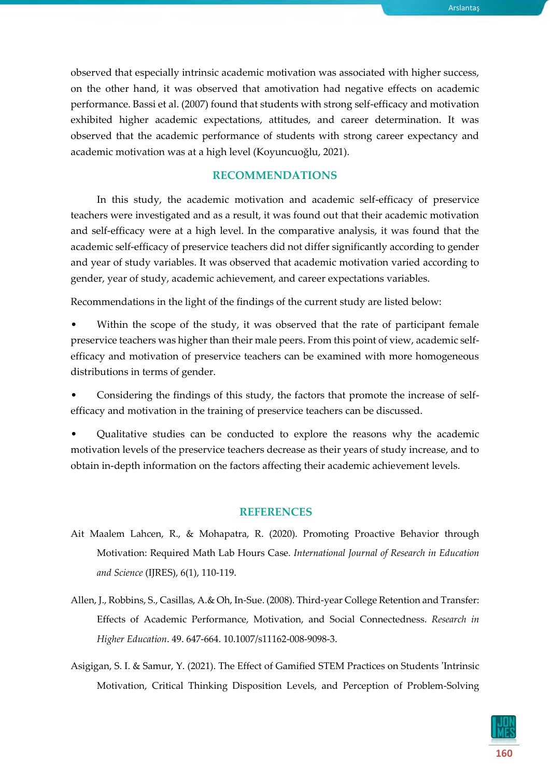Arslantaş

observed that especially intrinsic academic motivation was associated with higher success, on the other hand, it was observed that amotivation had negative effects on academic performance. Bassi et al. (2007) found that students with strong self-efficacy and motivation exhibited higher academic expectations, attitudes, and career determination. It was observed that the academic performance of students with strong career expectancy and academic motivation was at a high level (Koyuncuoğlu, 2021).

#### **RECOMMENDATIONS**

In this study, the academic motivation and academic self-efficacy of preservice teachers were investigated and as a result, it was found out that their academic motivation and self-efficacy were at a high level. In the comparative analysis, it was found that the academic self-efficacy of preservice teachers did not differ significantly according to gender and year of study variables. It was observed that academic motivation varied according to gender, year of study, academic achievement, and career expectations variables.

Recommendations in the light of the findings of the current study are listed below:

Within the scope of the study, it was observed that the rate of participant female preservice teachers was higher than their male peers. From this point of view, academic selfefficacy and motivation of preservice teachers can be examined with more homogeneous distributions in terms of gender.

• Considering the findings of this study, the factors that promote the increase of selfefficacy and motivation in the training of preservice teachers can be discussed.

• Qualitative studies can be conducted to explore the reasons why the academic motivation levels of the preservice teachers decrease as their years of study increase, and to obtain in-depth information on the factors affecting their academic achievement levels.

#### **REFERENCES**

- Ait Maalem Lahcen, R., & Mohapatra, R. (2020). Promoting Proactive Behavior through Motivation: Required Math Lab Hours Case. *International Journal of Research in Education and Science* (IJRES), 6(1), 110-119.
- Allen, J., Robbins, S., Casillas, A.& Oh, In-Sue. (2008). Third-year College Retention and Transfer: Effects of Academic Performance, Motivation, and Social Connectedness. *Research in Higher Education*. 49. 647-664. 10.1007/s11162-008-9098-3.
- Asigigan, S. I. & Samur, Y. (2021). The Effect of Gamified STEM Practices on Students 'Intrinsic Motivation, Critical Thinking Disposition Levels, and Perception of Problem-Solving

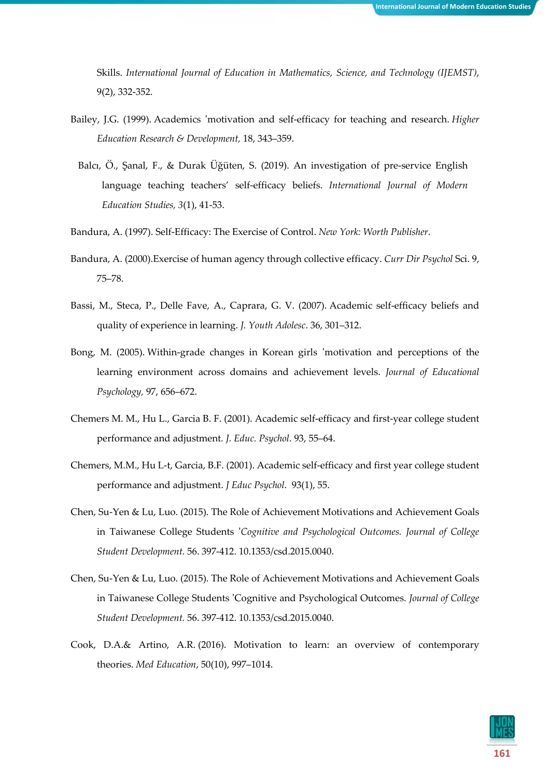Skills. *International Journal of Education in Mathematics, Science, and Technology (IJEMST)*, 9(2), 332-352.

- Bailey, J.G. (1999). Academics 'motivation and self-efficacy for teaching and research. *Higher Education Research & Development,* 18, 343–359.
	- Balcı, Ö., Şanal, F., & Durak Üğüten, S. (2019). An investigation of pre-service English language teaching teachers' self-efficacy beliefs. *International Journal of Modern Education Studies, 3*(1), 41-53.
- Bandura, A. (1997). Self-Efficacy: The Exercise of Control. *New York: Worth Publisher*.
- Bandura, A. (2000).Exercise of human agency through collective efficacy. *Curr Dir Psychol* Sci. 9, 75–78.
- Bassi, M., Steca, P., Delle Fave, A., Caprara, G. V. (2007). Academic self-efficacy beliefs and quality of experience in learning. *J. Youth Adolesc*. 36, 301–312.
- Bong, M. (2005). Within-grade changes in Korean girls 'motivation and perceptions of the learning environment across domains and achievement levels. *Journal of Educational Psychology,* 97, 656–672.
- Chemers M. M., Hu L., Garcia B. F. (2001). Academic self-efficacy and first-year college student performance and adjustment*. J. Educ. Psychol*. 93, 55–64.
- Chemers, M.M., Hu L-t, Garcia, B.F. (2001). Academic self-efficacy and first year college student performance and adjustment. *J Educ Psychol*. 93(1), 55.
- Chen, Su-Yen & Lu, Luo. (2015). The Role of Achievement Motivations and Achievement Goals in Taiwanese College Students '*Cognitive and Psychological Outcomes. Journal of College Student Development.* 56. 397-412. 10.1353/csd.2015.0040.
- Chen, Su-Yen & Lu, Luo. (2015). The Role of Achievement Motivations and Achievement Goals in Taiwanese College Students 'Cognitive and Psychological Outcomes. *Journal of College Student Development.* 56. 397-412. 10.1353/csd.2015.0040.
- Cook, D.A.& Artino, A.R. (2016). Motivation to learn: an overview of contemporary theories. *Med Education*, 50(10), 997–1014.

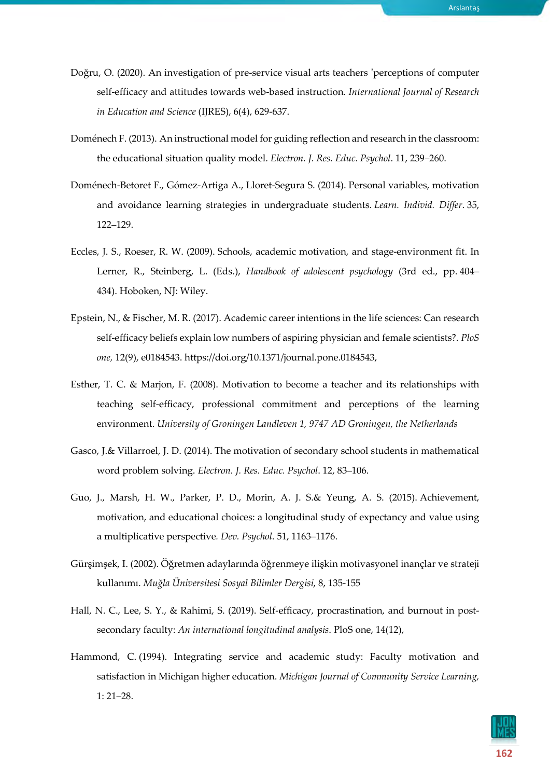- Doğru, O. (2020). An investigation of pre-service visual arts teachers 'perceptions of computer self-efficacy and attitudes towards web-based instruction. *International Journal of Research in Education and Science* (IJRES), 6(4), 629-637.
- Doménech F. (2013). An instructional model for guiding reflection and research in the classroom: the educational situation quality model. *Electron. J. Res. Educ. Psychol*. 11, 239–260.
- Doménech-Betoret F., Gómez-Artiga A., Lloret-Segura S. (2014). Personal variables, motivation and avoidance learning strategies in undergraduate students. *Learn. Individ. Differ*. 35, 122–129.
- Eccles, J. S., Roeser, R. W. (2009). Schools, academic motivation, and stage-environment fit. In Lerner, R., Steinberg, L. (Eds.), *Handbook of adolescent psychology* (3rd ed., pp. 404– 434). Hoboken, NJ: Wiley.
- Epstein, N., & Fischer, M. R. (2017). Academic career intentions in the life sciences: Can research self-efficacy beliefs explain low numbers of aspiring physician and female scientists?. *PloS one,* 12(9), e0184543. [https://doi.org/10.1371/journal.pone.0184543,](https://doi.org/10.1371/journal.pone.0184543)
- Esther, T. C. & Marjon, F. (2008). Motivation to become a teacher and its relationships with teaching self-efficacy, professional commitment and perceptions of the learning environment. *University of Groningen Landleven 1, 9747 AD Groningen, the Netherlands*
- Gasco, J.& Villarroel, J. D. (2014). The motivation of secondary school students in mathematical word problem solving. *Electron. J. Res. Educ. Psychol*. 12, 83–106.
- Guo, J., Marsh, H. W., Parker, P. D., Morin, A. J. S.& Yeung, A. S. (2015). Achievement, motivation, and educational choices: a longitudinal study of expectancy and value using a multiplicative perspective*. Dev. Psychol*. 51, 1163–1176.
- Gürşimşek, I. (2002). Öğretmen adaylarında öğrenmeye ilişkin motivasyonel inançlar ve strateji kullanımı. *Muğla Üniversitesi Sosyal Bilimler Dergisi*, 8, 135-155
- Hall, N. C., Lee, S. Y., & Rahimi, S. (2019). Self-efficacy, procrastination, and burnout in postsecondary faculty: *An international longitudinal analysis*. PloS one, 14(12),
- Hammond, C. (1994). Integrating service and academic study: Faculty motivation and satisfaction in Michigan higher education. *Michigan Journal of Community Service Learning,* 1: 21–28.

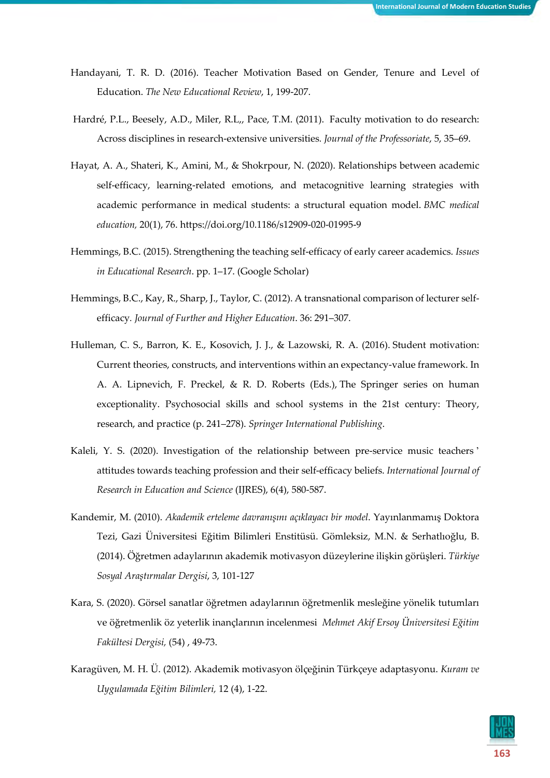- Handayani, T. R. D. (2016). Teacher Motivation Based on Gender, Tenure and Level of Education. *The New Educational Review*, 1, 199-207.
- Hardré, P.L., Beesely, A.D., Miler, R.L,, Pace, T.M. (2011). Faculty motivation to do research: Across disciplines in research-extensive universities*. Journal of the Professoriate*, 5, 35–69.
- Hayat, A. A., Shateri, K., Amini, M., & Shokrpour, N. (2020). Relationships between academic self-efficacy, learning-related emotions, and metacognitive learning strategies with academic performance in medical students: a structural equation model. *BMC medical education,* 20(1), 76. https://doi.org/10.1186/s12909-020-01995-9
- Hemmings, B.C. (2015). Strengthening the teaching self-efficacy of early career academics. *Issues in Educational Research*. pp. 1–17. (Google [Scholar\)](https://scholar.google.com/scholar_lookup?journal=Issues+in+Educational+Research&title=Strengthening+the+teaching+self-efficacy+of+early+career+academics&author=BC+Hemmings&publication_year=2015&pages=1-17&)
- Hemmings, B.C., Kay, R., Sharp, J., Taylor, C. (2012). A transnational comparison of lecturer selfefficacy*. Journal of Further and Higher Education*. 36: 291–307.
- Hulleman, C. S., Barron, K. E., Kosovich, J. J., & Lazowski, R. A. (2016). Student motivation: Current theories, constructs, and interventions within an expectancy-value framework. In A. A. Lipnevich, F. Preckel, & R. D. Roberts (Eds.), The Springer series on human exceptionality. Psychosocial skills and school systems in the 21st century: Theory, research, and practice (p. 241–278). *Springer International Publishing*.
- Kaleli, Y. S. (2020). Investigation of the relationship between pre-service music teachers ' attitudes towards teaching profession and their self-efficacy beliefs. *International Journal of Research in Education and Science* (IJRES), 6(4), 580-587.
- Kandemir, M. (2010). *Akademik erteleme davranışını açıklayacı bir model*. Yayınlanmamış Doktora Tezi, Gazi Üniversitesi Eğitim Bilimleri Enstitüsü. Gömleksiz, M.N. & Serhatlıoğlu, B. (2014). Öğretmen adaylarının akademik motivasyon düzeylerine ilişkin görüşleri. *Türkiye Sosyal Araştırmalar Dergisi*, 3, 101-127
- Kara, S. (2020). Görsel sanatlar öğretmen adaylarının öğretmenlik mesleğine yönelik tutumları ve öğretmenlik öz yeterlik inançlarının incelenmesi *Mehmet Akif Ersoy Üniversitesi Eğitim Fakültesi Dergisi,* (54) , 49-73.
- Karagüven, M. H. Ü. (2012). Akademik motivasyon ölçeğinin Türkçeye adaptasyonu. *Kuram ve Uygulamada Eğitim Bilimleri,* 12 (4), 1-22.

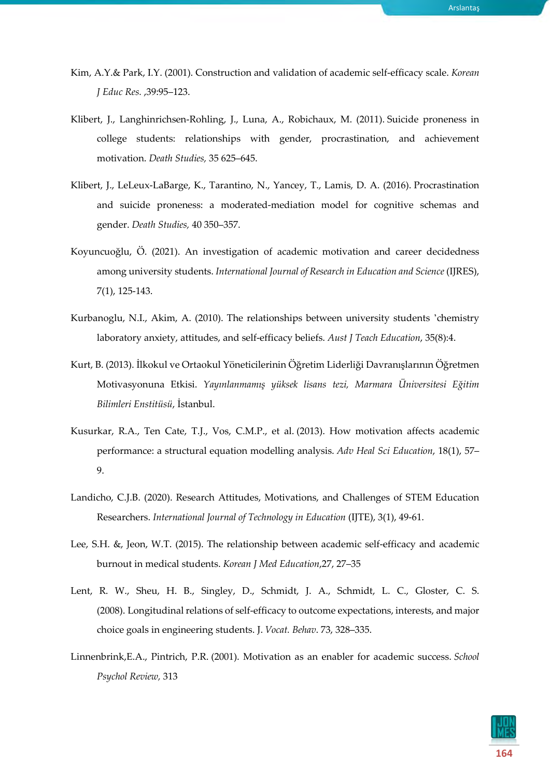- Kim, A.Y.& Park, I.Y. (2001). Construction and validation of academic self-efficacy scale. *Korean J Educ Res.* ,39:95–123.
- Klibert, J., Langhinrichsen-Rohling, J., Luna, A., Robichaux, M. (2011). Suicide proneness in college students: relationships with gender, procrastination, and achievement motivation. *Death Studies,* 35 625–645.
- Klibert, J., LeLeux-LaBarge, K., Tarantino, N., Yancey, T., Lamis, D. A. (2016). Procrastination and suicide proneness: a moderated-mediation model for cognitive schemas and gender. *Death Studies,* 40 350–357.
- Koyuncuoğlu, Ö. (2021). An investigation of academic motivation and career decidedness among university students. *International Journal of Research in Education and Science* (IJRES), 7(1), 125-143.
- Kurbanoglu, N.I., Akim, A. (2010). The relationships between university students 'chemistry laboratory anxiety, attitudes, and self-efficacy beliefs. *Aust J Teach Education*, 35(8):4.
- Kurt, B. (2013). İlkokul ve Ortaokul Yöneticilerinin Öğretim Liderliği Davranışlarının Öğretmen Motivasyonuna Etkisi. *Yayınlanmamış yüksek lisans tezi, Marmara Üniversitesi Eğitim Bilimleri Enstitüsü*, İstanbul.
- Kusurkar, R.A., Ten Cate, T.J., Vos, C.M.P., et al. (2013). How motivation affects academic performance: a structural equation modelling analysis. *Adv Heal Sci Education*, 18(1), 57– 9.
- Landicho, C.J.B. (2020). Research Attitudes, Motivations, and Challenges of STEM Education Researchers. *International Journal of Technology in Education* (IJTE), 3(1), 49-61.
- Lee, S.H. &, Jeon, W.T. (2015). The relationship between academic self-efficacy and academic burnout in medical students. *Korean J Med Education*,27, 27–35
- Lent, R. W., Sheu, H. B., Singley, D., Schmidt, J. A., Schmidt, L. C., Gloster, C. S. (2008). Longitudinal relations of self-efficacy to outcome expectations, interests, and major choice goals in engineering students. J. *Vocat. Behav*. 73, 328–335.
- Linnenbrink,E.A., Pintrich, P.R. (2001). Motivation as an enabler for academic success. *School Psychol Review,* 313

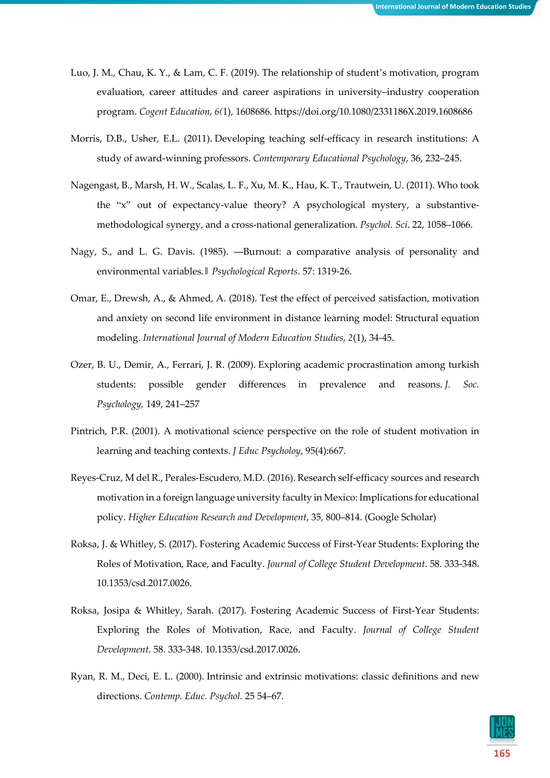- Luo, J. M., Chau, K. Y., & Lam, C. F. (2019). The relationship of student's motivation, program evaluation, career attitudes and career aspirations in university–industry cooperation program. *Cogent Education, 6(*1), 1608686. https://doi.org/10.1080/2331186X.2019.1608686
- Morris, D.B., Usher, E.L. (2011). Developing teaching self-efficacy in research institutions: A study of award-winning professors. *Contemporary Educational Psychology*, 36, 232–245.
- Nagengast, B., Marsh, H. W., Scalas, L. F., Xu, M. K., Hau, K. T., Trautwein, U. (2011). Who took the "x" out of expectancy-value theory? A psychological mystery, a substantivemethodological synergy, and a cross-national generalization. *Psychol. Sci*. 22, 1058–1066.
- Nagy, S., and L. G. Davis. (1985). ―Burnout: a comparative analysis of personality and environmental variables.‖ *Psychological Reports*. 57: 1319-26.
- Omar, E., Drewsh, A., & Ahmed, A. (2018). Test the effect of perceived satisfaction, motivation and anxiety on second life environment in distance learning model: Structural equation modeling. *International Journal of Modern Education Studies, 2*(1), 34-45.
- Ozer, B. U., Demir, A., Ferrari, J. R. (2009). Exploring academic procrastination among turkish students: possible gender differences in prevalence and reasons. *J. Soc. Psychology,* 149, 241–257
- Pintrich, P.R. (2001). A motivational science perspective on the role of student motivation in learning and teaching contexts. *J Educ Psycholoy*, 95(4):667.
- Reyes-Cruz, M del R., Perales-Escudero, M.D. (2016). Research self-efficacy sources and research motivation in a foreign language university faculty in Mexico: Implications for educational policy. *Higher Education Research and Development*, 35, 800–814. (Google [Scholar\)](https://scholar.google.com/scholar_lookup?journal=Higher+Education+Research+and+Development&title=Research+self-efficacy+sources+and+research+motivation+in+a+foreign+language+university+faculty+in+Mexico:+Implications+for+educational+policy&author=R+Reyes-Cruz+M+del&author=MD+Perales-Escudero&volume=35&publication_year=2016&pages=800-814&)
- Roksa, J. & Whitley, S. (2017). Fostering Academic Success of First-Year Students: Exploring the Roles of Motivation, Race, and Faculty. *Journal of College Student Development*. 58. 333-348. 10.1353/csd.2017.0026.
- Roksa, Josipa & Whitley, Sarah. (2017). Fostering Academic Success of First-Year Students: Exploring the Roles of Motivation, Race, and Faculty. *Journal of College Student Development*. 58. 333-348. 10.1353/csd.2017.0026.
- Ryan, R. M., Deci, E. L. (2000). Intrinsic and extrinsic motivations: classic definitions and new directions. *Contemp. Educ. Psychol.* 25 54–67.

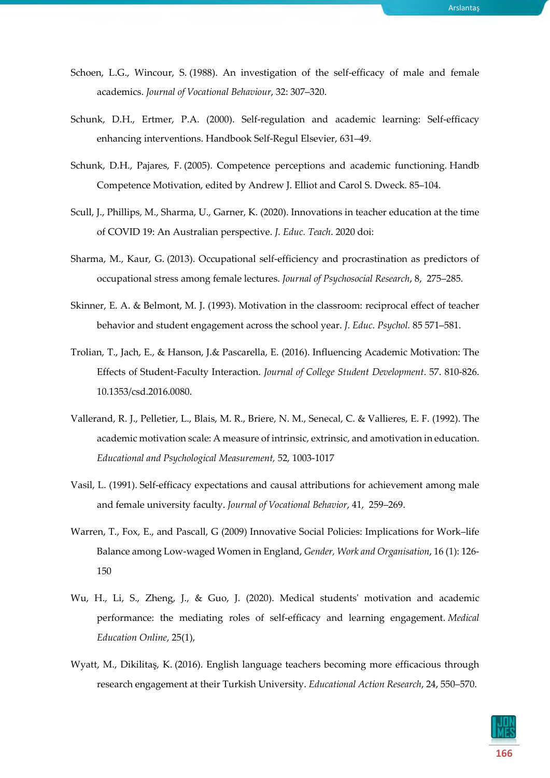- Schoen, L.G., Wincour, S. (1988). An investigation of the self-efficacy of male and female academics. *Journal of Vocational Behaviour*, 32: 307–320.
- Schunk, D.H., Ertmer, P.A. (2000). Self-regulation and academic learning: Self-efficacy enhancing interventions. Handbook Self-Regul Elsevier, 631–49.
- Schunk, D.H., Pajares, F. (2005). Competence perceptions and academic functioning. Handb Competence Motivation, edited by Andrew J. Elliot and Carol S. Dweck. 85–104.
- Scull, J., Phillips, M., Sharma, U., Garner, K. (2020). Innovations in teacher education at the time of COVID 19: An Australian perspective. *J. Educ. Teach*. 2020 doi:
- Sharma, M., Kaur, G. (2013). Occupational self-efficiency and procrastination as predictors of occupational stress among female lectures. *Journal of Psychosocial Research*, 8, 275–285.
- Skinner, E. A. & Belmont, M. J. (1993). Motivation in the classroom: reciprocal effect of teacher behavior and student engagement across the school year. *J. Educ. Psychol.* 85 571–581.
- Trolian, T., Jach, E., & Hanson, J.& Pascarella, E. (2016). Influencing Academic Motivation: The Effects of Student-Faculty Interaction. *Journal of College Student Development*. 57. 810-826. 10.1353/csd.2016.0080.
- Vallerand, R. J., Pelletier, L., Blais, M. R., Briere, N. M., Senecal, C. & Vallieres, E. F. (1992). The academic motivation scale: A measure of intrinsic, extrinsic, and amotivation in education. *Educational and Psychological Measurement,* 52, 1003-1017
- Vasil, L. (1991). Self-efficacy expectations and causal attributions for achievement among male and female university faculty. *Journal of Vocational Behavior*, 41, 259–269.
- Warren, T., Fox, E., and Pascall, G (2009) Innovative Social Policies: Implications for Work–life Balance among Low‐waged Women in England, *Gender, Work and Organisation*, 16 (1): 126‐ 150
- Wu, H., Li, S., Zheng, J., & Guo, J. (2020). Medical students' motivation and academic performance: the mediating roles of self-efficacy and learning engagement. *Medical Education Online*, 25(1),
- Wyatt, M., Dikilitaş, K. (2016). English language teachers becoming more efficacious through research engagement at their Turkish University. *Educational Action Research*, 24, 550–570.